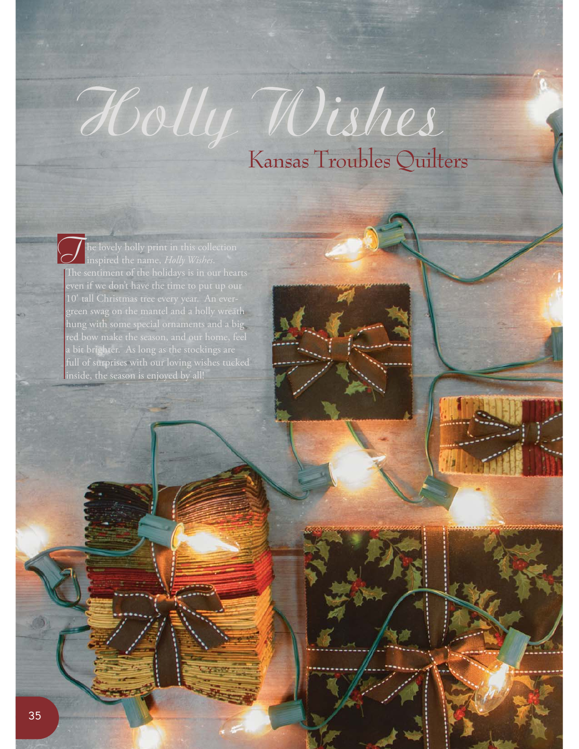## Holly Wishes Kansas Troubles Quilters

he lovely holly print in this collection inspired the name, *Holly Wishes*. The sentiment of the holidays is in our hearts even if we don't have the time to put up our green swag on the mantel and a holly wreath hung with some special ornaments and a big red bow make the season, and our home, feel a bit brighter. As long as the stockings are full of surprises with our loving wishes tucked inside, the season is enjoyed by all!  $\overline{J}$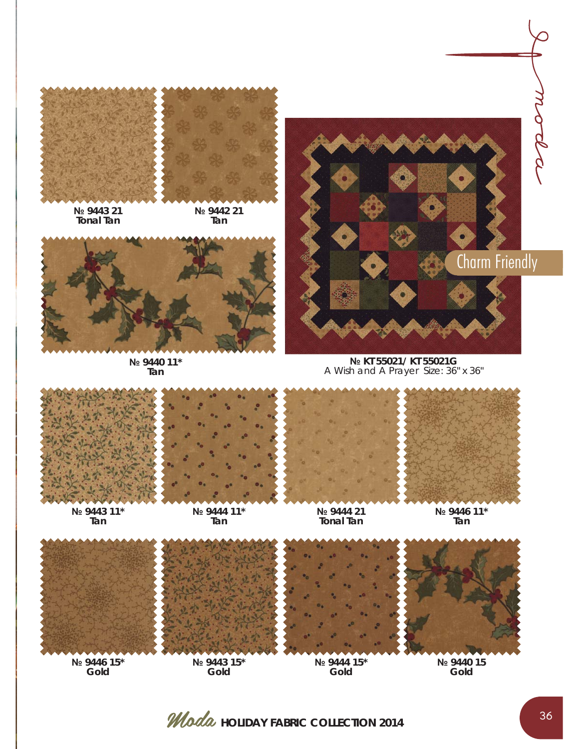

**№ 9443 21 Tonal Tan**

**№ 9442 21 Tan**



**№ 9440 11\* Tan**



**№ KT 55021/ KT 55021G**  A Wish and A PrayerSize: 36" x 36"



**№ 9446 15\* Gold**

*Moda* HOLIDAY FABRIC COLLECTION 2014

**Gold**

**Gold**

**Gold**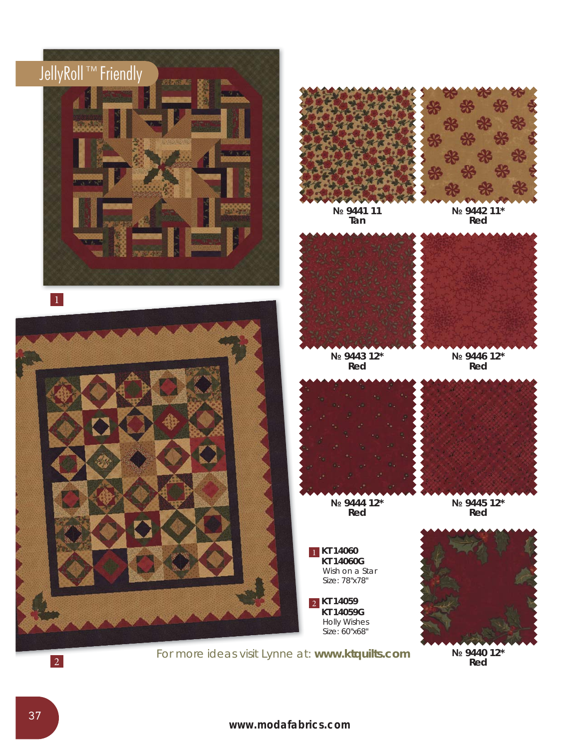

10 **www.modafabrics.com**